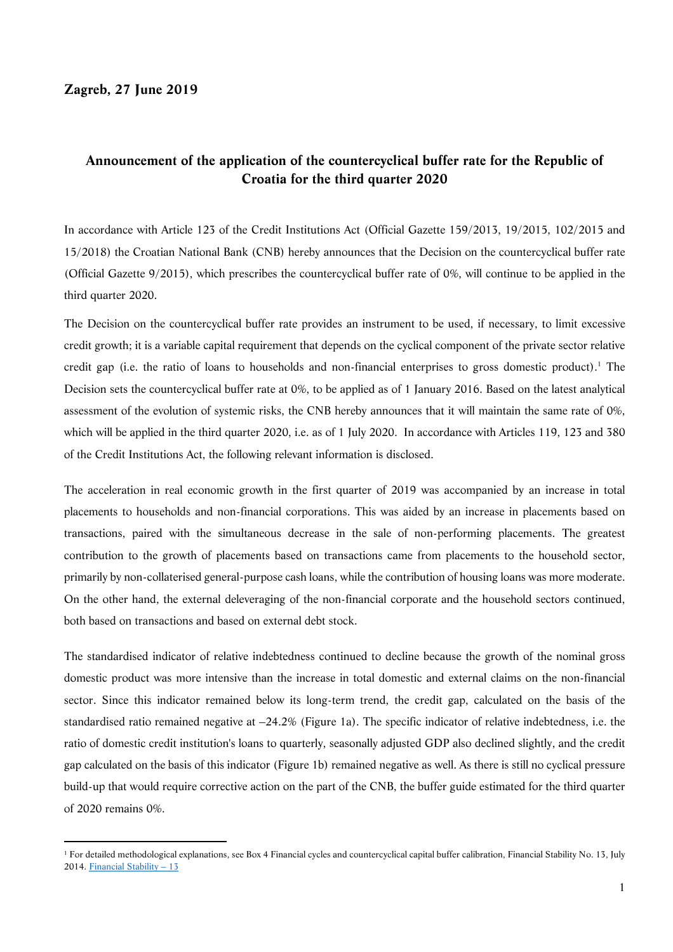## **Zagreb, 27 June 2019**

# **Announcement of the application of the countercyclical buffer rate for the Republic of Croatia for the third quarter 2020**

In accordance with Article 123 of the Credit Institutions Act (Official Gazette 159/2013, 19/2015, 102/2015 and 15/2018) the Croatian National Bank (CNB) hereby announces that the Decision on the countercyclical buffer rate (Official Gazette 9/2015), which prescribes the countercyclical buffer rate of 0%, will continue to be applied in the third quarter 2020.

The Decision on the countercyclical buffer rate provides an instrument to be used, if necessary, to limit excessive credit growth; it is a variable capital requirement that depends on the cyclical component of the private sector relative credit gap (i.e. the ratio of loans to households and non-financial enterprises to gross domestic product).<sup>1</sup> The Decision sets the countercyclical buffer rate at 0%, to be applied as of 1 January 2016. Based on the latest analytical assessment of the evolution of systemic risks, the CNB hereby announces that it will maintain the same rate of 0%, which will be applied in the third quarter 2020, i.e. as of 1 July 2020. In accordance with Articles 119, 123 and 380 of the Credit Institutions Act, the following relevant information is disclosed.

The acceleration in real economic growth in the first quarter of 2019 was accompanied by an increase in total placements to households and non-financial corporations. This was aided by an increase in placements based on transactions, paired with the simultaneous decrease in the sale of non-performing placements. The greatest contribution to the growth of placements based on transactions came from placements to the household sector, primarily by non-collaterised general-purpose cash loans, while the contribution of housing loans was more moderate. On the other hand, the external deleveraging of the non-financial corporate and the household sectors continued, both based on transactions and based on external debt stock.

The standardised indicator of relative indebtedness continued to decline because the growth of the nominal gross domestic product was more intensive than the increase in total domestic and external claims on the non-financial sector. Since this indicator remained below its long-term trend, the credit gap, calculated on the basis of the standardised ratio remained negative at –24.2% (Figure 1a). The specific indicator of relative indebtedness, i.e. the ratio of domestic credit institution's loans to quarterly, seasonally adjusted GDP also declined slightly, and the credit gap calculated on the basis of this indicator (Figure 1b) remained negative as well. As there is still no cyclical pressure build-up that would require corrective action on the part of the CNB, the buffer guide estimated for the third quarter of 2020 remains 0%.

 <sup>1</sup> For detailed methodological explanations, see Box 4 Financial cycles and countercyclical capital buffer calibration, Financial Stability No. 13, July 2014. Financial Stability – 13